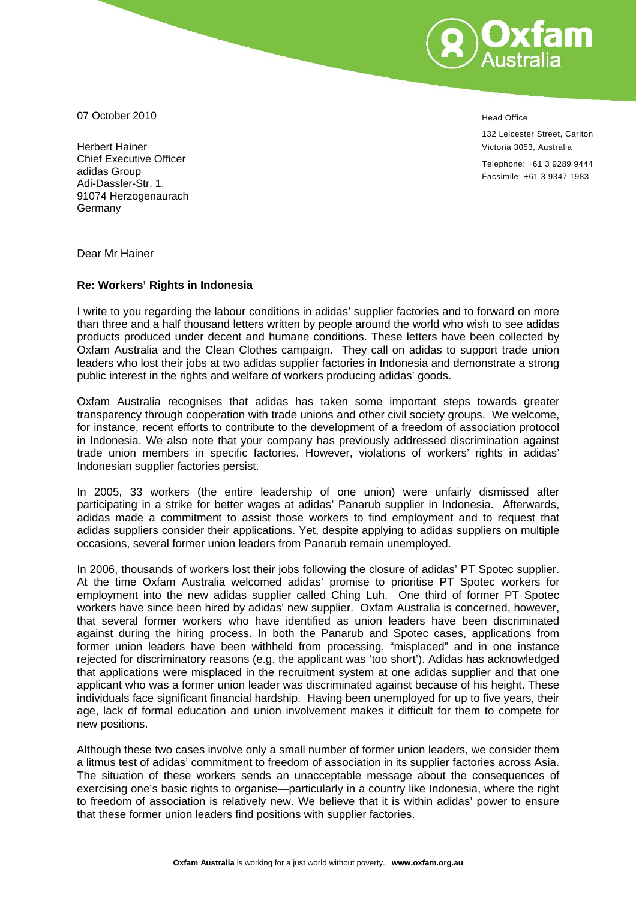

07 October 2010

Herbert Hainer Chief Executive Officer adidas Group Adi-Dassler-Str. 1, 91074 Herzogenaurach Germany

Head Office

132 Leicester Street, Carlton Victoria 3053, Australia

Telephone: +61 3 9289 9444 Facsimile: +61 3 9347 1983

Dear Mr Hainer

## **Re: Workers' Rights in Indonesia**

I write to you regarding the labour conditions in adidas' supplier factories and to forward on more than three and a half thousand letters written by people around the world who wish to see adidas products produced under decent and humane conditions. These letters have been collected by Oxfam Australia and the Clean Clothes campaign. They call on adidas to support trade union leaders who lost their jobs at two adidas supplier factories in Indonesia and demonstrate a strong public interest in the rights and welfare of workers producing adidas' goods.

Oxfam Australia recognises that adidas has taken some important steps towards greater transparency through cooperation with trade unions and other civil society groups. We welcome, for instance, recent efforts to contribute to the development of a freedom of association protocol in Indonesia. We also note that your company has previously addressed discrimination against trade union members in specific factories. However, violations of workers' rights in adidas' Indonesian supplier factories persist.

In 2005, 33 workers (the entire leadership of one union) were unfairly dismissed after participating in a strike for better wages at adidas' Panarub supplier in Indonesia. Afterwards, adidas made a commitment to assist those workers to find employment and to request that adidas suppliers consider their applications. Yet, despite applying to adidas suppliers on multiple occasions, several former union leaders from Panarub remain unemployed.

In 2006, thousands of workers lost their jobs following the closure of adidas' PT Spotec supplier. At the time Oxfam Australia welcomed adidas' promise to prioritise PT Spotec workers for employment into the new adidas supplier called Ching Luh. One third of former PT Spotec workers have since been hired by adidas' new supplier. Oxfam Australia is concerned, however, that several former workers who have identified as union leaders have been discriminated against during the hiring process. In both the Panarub and Spotec cases, applications from former union leaders have been withheld from processing, "misplaced" and in one instance rejected for discriminatory reasons (e.g. the applicant was 'too short'). Adidas has acknowledged that applications were misplaced in the recruitment system at one adidas supplier and that one applicant who was a former union leader was discriminated against because of his height. These individuals face significant financial hardship. Having been unemployed for up to five years, their age, lack of formal education and union involvement makes it difficult for them to compete for new positions.

Although these two cases involve only a small number of former union leaders, we consider them a litmus test of adidas' commitment to freedom of association in its supplier factories across Asia. The situation of these workers sends an unacceptable message about the consequences of exercising one's basic rights to organise—particularly in a country like Indonesia, where the right to freedom of association is relatively new. We believe that it is within adidas' power to ensure that these former union leaders find positions with supplier factories.